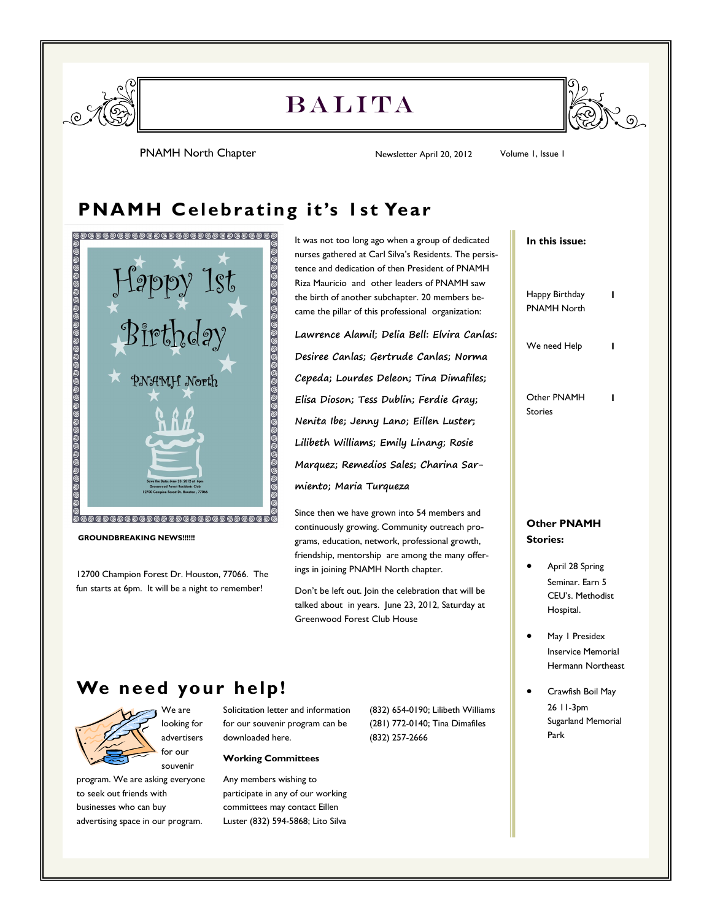

# **BALITA**



PNAMH North Chapter 1988 1999 Mewsletter April 20, 2012 Volume 1, Issue 1

## **PNAMH Celebrating it's 1st Year**



12700 Champion Forest Dr. Houston, 77066. The fun starts at 6pm. It will be a night to remember!

It was not too long ago when a group of dedicated nurses gathered at Carl Silva's Residents. The persistence and dedication of then President of PNAMH Riza Mauricio and other leaders of PNAMH saw the birth of another subchapter. 20 members became the pillar of this professional organization:

**Lawrence Alamil; Delia Bell: Elvira Canlas: Desiree Canlas; Gertrude Canlas; Norma Cepeda; Lourdes Deleon; Tina Dimafiles; Elisa Dioson; Tess Dublin; Ferdie Gray; Nenita Ibe; Jenny Lano; Eillen Luster; Lilibeth Williams; Emily Linang; Rosie Marquez; Remedios Sales; Charina Sarmiento; Maria Turqueza**

Since then we have grown into 54 members and continuously growing. Community outreach programs, education, network, professional growth, friendship, mentorship are among the many offerings in joining PNAMH North chapter.

Don't be left out. Join the celebration that will be talked about in years. June 23, 2012, Saturday at Greenwood Forest Club House

## **We need your help!**



program. We are asking everyone to seek out friends with businesses who can buy advertising space in our program.

Solicitation letter and information for our souvenir program can be downloaded here.

#### **Working Committees**

Any members wishing to participate in any of our working committees may contact Eillen Luster (832) 594-5868; Lito Silva

(832) 654-0190; Lilibeth Williams (281) 772-0140; Tina Dimafiles (832) 257-2666

#### **In this issue:**

| Happy Birthday | ı |
|----------------|---|
| PNAMH North    |   |
|                |   |
|                |   |

We need Help **1** 

Other PNAMH Stories **1**

### **Other PNAMH Stories:**

- April 28 Spring Seminar. Earn 5 CEU's. Methodist Hospital.
- May 1 Presidex Inservice Memorial Hermann Northeast
- Crawfish Boil May 26 11-3pm Sugarland Memorial Park